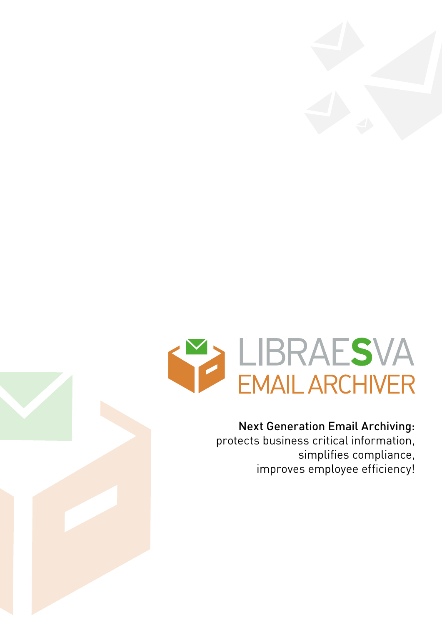



#### Next Generation Email Archiving:

protects business critical information, simplifies compliance, improves employee efficiency!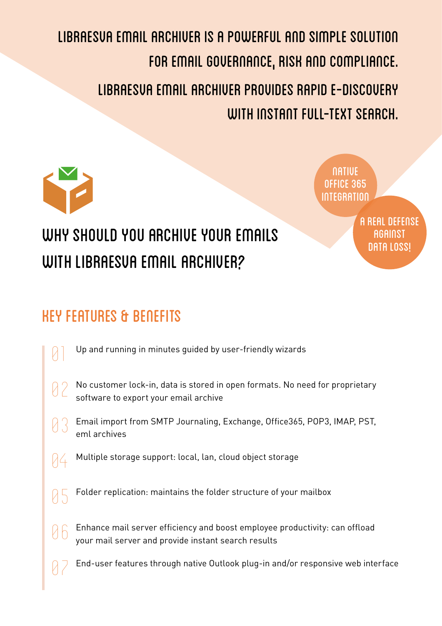Libraesva Email Archiver is a powerful and simple solution for email Governance, Risk and Compliance. Libraesva Email Archiver provides rapid e-Discovery WITH INSTANT FULL-TEXT SEARCH.



Native Office 365 **INTEGRATION** 

## Why should you archive your emails WITH LIBRAESUA EMAIL ARCHIVER?

A real defense **AGAINST** DATA LOSS!

#### KEY FEATURES & BENEFITS

- $\vee$ 02 Up and running in minutes guided by user-friendly wizards No customer lock-in, data is stored in open formats. No need for proprietary software to export your email archive
- $8^{\prime}$ Email import from SMTP Journaling, Exchange, Office365, POP3, IMAP, PST, eml archives
- 14 Multiple storage support: local, lan, cloud object storage
- 85 Folder replication: maintains the folder structure of your mailbox
- 12 h Enhance mail server efficiency and boost employee productivity: can offload your mail server and provide instant search results
- $V/$ End-user features through native Outlook plug-in and/or responsive web interface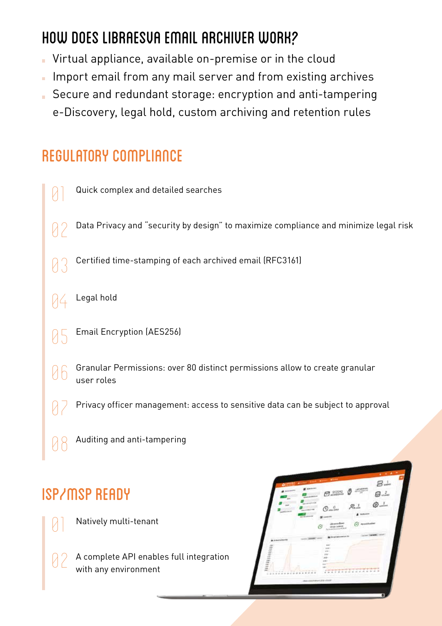### How does Libraesva Email Archiver work?

- Virtual appliance, available on-premise or in the cloud ×.
- Import email from any mail server and from existing archives
- Secure and redundant storage: encryption and anti-tampering e-Discovery, legal hold, custom archiving and retention rules

#### REGULATORY COMPLIANCE



#### ISP/MSP READY

- Natively multi-tenant 01
- A complete API enables full integration with any environment 02